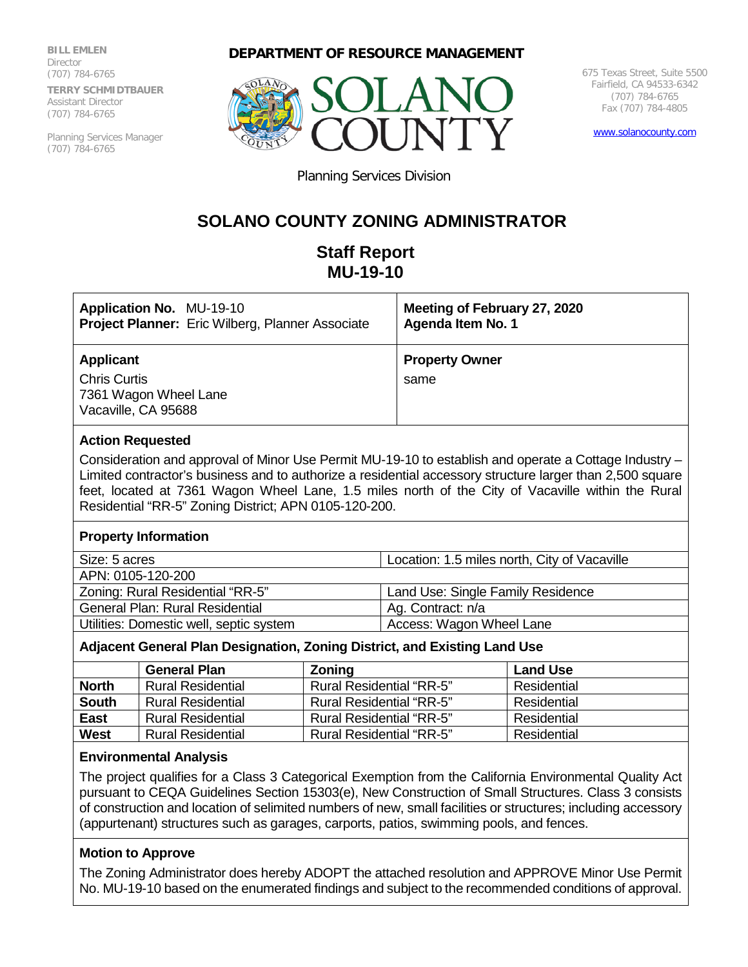**BILL EMLEN Director** (707) 784-6765 **TERRY SCHMIDTBAUER** Assistant Director (707) 784-6765

Planning Services Manager (707) 784-6765

# **DEPARTMENT OF RESOURCE MANAGEMENT**



675 Texas Street, Suite 5500 Fairfield, CA 94533-6342 (707) 784-6765 Fax (707) 784-4805

[www.solanocounty.com](http://www.solanocounty.com/)

Planning Services Division

# **SOLANO COUNTY ZONING ADMINISTRATOR**

# **Staff Report MU-19-10**

| <b>Application No. MU-19-10</b>                                                  | Meeting of February 27, 2020  |
|----------------------------------------------------------------------------------|-------------------------------|
| Project Planner: Eric Wilberg, Planner Associate                                 | Agenda Item No. 1             |
| Applicant<br><b>Chris Curtis</b><br>7361 Wagon Wheel Lane<br>Vacaville, CA 95688 | <b>Property Owner</b><br>same |

## **Action Requested**

Consideration and approval of Minor Use Permit MU-19-10 to establish and operate a Cottage Industry – Limited contractor's business and to authorize a residential accessory structure larger than 2,500 square feet, located at 7361 Wagon Wheel Lane, 1.5 miles north of the City of Vacaville within the Rural Residential "RR-5" Zoning District; APN 0105-120-200.

### **Property Information**

| Size: 5 acres                           | Location: 1.5 miles north, City of Vacaville |  |
|-----------------------------------------|----------------------------------------------|--|
| APN: 0105-120-200                       |                                              |  |
| Zoning: Rural Residential "RR-5"        | Land Use: Single Family Residence            |  |
| <b>General Plan: Rural Residential</b>  | Ag. Contract: n/a                            |  |
| Utilities: Domestic well, septic system | Access: Wagon Wheel Lane                     |  |

## **Adjacent General Plan Designation, Zoning District, and Existing Land Use**

|              | <b>General Plan</b>      | <b>Zoning</b>                   | <b>Land Use</b> |
|--------------|--------------------------|---------------------------------|-----------------|
| <b>North</b> | <b>Rural Residential</b> | <b>Rural Residential "RR-5"</b> | Residential     |
| <b>South</b> | <b>Rural Residential</b> | <b>Rural Residential "RR-5"</b> | Residential     |
| <b>East</b>  | <b>Rural Residential</b> | <b>Rural Residential "RR-5"</b> | Residential     |
| <b>West</b>  | <b>Rural Residential</b> | <b>Rural Residential "RR-5"</b> | Residential     |

### **Environmental Analysis**

The project qualifies for a Class 3 Categorical Exemption from the California Environmental Quality Act pursuant to CEQA Guidelines Section 15303(e), New Construction of Small Structures. Class 3 consists of construction and location of selimited numbers of new, small facilities or structures; including accessory (appurtenant) structures such as garages, carports, patios, swimming pools, and fences.

# **Motion to Approve**

The Zoning Administrator does hereby ADOPT the attached resolution and APPROVE Minor Use Permit No. MU-19-10 based on the enumerated findings and subject to the recommended conditions of approval.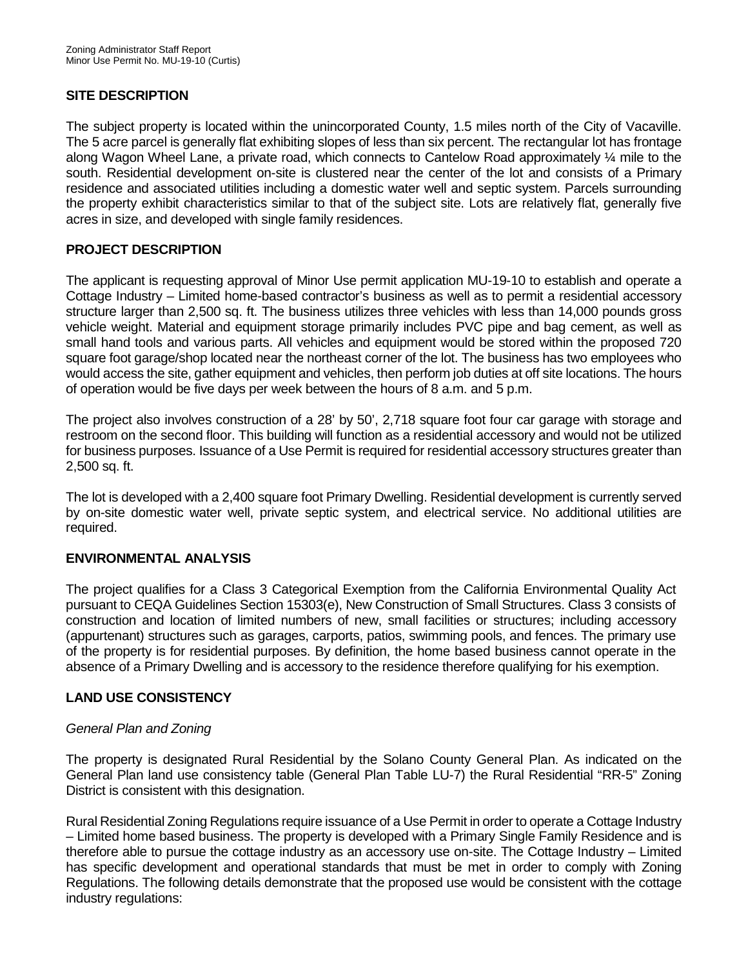# **SITE DESCRIPTION**

The subject property is located within the unincorporated County, 1.5 miles north of the City of Vacaville. The 5 acre parcel is generally flat exhibiting slopes of less than six percent. The rectangular lot has frontage along Wagon Wheel Lane, a private road, which connects to Cantelow Road approximately ¼ mile to the south. Residential development on-site is clustered near the center of the lot and consists of a Primary residence and associated utilities including a domestic water well and septic system. Parcels surrounding the property exhibit characteristics similar to that of the subject site. Lots are relatively flat, generally five acres in size, and developed with single family residences.

# **PROJECT DESCRIPTION**

The applicant is requesting approval of Minor Use permit application MU-19-10 to establish and operate a Cottage Industry – Limited home-based contractor's business as well as to permit a residential accessory structure larger than 2,500 sq. ft. The business utilizes three vehicles with less than 14,000 pounds gross vehicle weight. Material and equipment storage primarily includes PVC pipe and bag cement, as well as small hand tools and various parts. All vehicles and equipment would be stored within the proposed 720 square foot garage/shop located near the northeast corner of the lot. The business has two employees who would access the site, gather equipment and vehicles, then perform job duties at off site locations. The hours of operation would be five days per week between the hours of 8 a.m. and 5 p.m.

The project also involves construction of a 28' by 50', 2,718 square foot four car garage with storage and restroom on the second floor. This building will function as a residential accessory and would not be utilized for business purposes. Issuance of a Use Permit is required for residential accessory structures greater than 2,500 sq. ft.

The lot is developed with a 2,400 square foot Primary Dwelling. Residential development is currently served by on-site domestic water well, private septic system, and electrical service. No additional utilities are required.

# **ENVIRONMENTAL ANALYSIS**

The project qualifies for a Class 3 Categorical Exemption from the California Environmental Quality Act pursuant to CEQA Guidelines Section 15303(e), New Construction of Small Structures. Class 3 consists of construction and location of limited numbers of new, small facilities or structures; including accessory (appurtenant) structures such as garages, carports, patios, swimming pools, and fences. The primary use of the property is for residential purposes. By definition, the home based business cannot operate in the absence of a Primary Dwelling and is accessory to the residence therefore qualifying for his exemption.

# **LAND USE CONSISTENCY**

# *General Plan and Zoning*

The property is designated Rural Residential by the Solano County General Plan. As indicated on the General Plan land use consistency table (General Plan Table LU-7) the Rural Residential "RR-5" Zoning District is consistent with this designation.

Rural Residential Zoning Regulations require issuance of a Use Permit in order to operate a Cottage Industry – Limited home based business. The property is developed with a Primary Single Family Residence and is therefore able to pursue the cottage industry as an accessory use on-site. The Cottage Industry – Limited has specific development and operational standards that must be met in order to comply with Zoning Regulations. The following details demonstrate that the proposed use would be consistent with the cottage industry regulations: